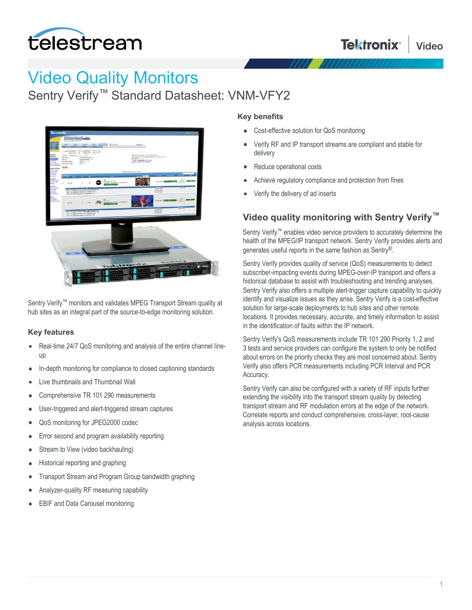

# Video Quality Monitors

Sentry Verify<sup>™</sup> Standard Datasheet: VNM-VFY2



Sentry Verify<sup>™</sup> monitors and validates MPEG Transport Stream quality at hub sites as an integral part of the source-to-edge monitoring solution.

#### **Key features**

- Real-time 24/7 QoS monitoring and analysis of the entire channel lineup
- In-depth monitoring for compliance to closed captioning standards
- Live thumbnails and Thumbnail Wall
- Comprehensive TR 101 290 measurements  $\bullet$
- User-triggered and alert-triggered stream captures
- QoS monitoring for JPEG2000 codec
- Error second and program availability reporting
- Stream to View (video backhauling)
- Historical reporting and graphing
- Transport Stream and Program Group bandwidth graphing  $\bullet$
- Analyzer-quality RF measuring capability
- EBIF and Data Carousel monitoring

#### **Key benefits**

- Cost-effective solution for QoS monitoring
- Verify RF and IP transport streams are compliant and stable for delivery
- Reduce operational costs
- Achieve regulatory compliance and protection from fines
- Verify the delivery of ad inserts

## **Video quality monitoring with Sentry Verify™**

Sentry Verify™ enables video service providers to accurately determine the health of the MPEG/IP transport network. Sentry Verify provides alerts and generates useful reports in the same fashion as Sentry®.

Sentry Verify provides quality of service (QoS) measurements to detect subscriber-impacting events during MPEG-over-IP transport and offers a historical database to assist with troubleshooting and trending analyses. Sentry Verify also offers a multiple alert-trigger capture capability to quickly identify and visualize issues as they arise. Sentry Verify is a cost-effective solution for large-scale deployments to hub sites and other remote locations. It provides necessary, accurate, and timely information to assist in the identification of faults within the IP network.

Sentry Verify's QoS measurements include TR 101 290 Priority 1, 2 and 3 tests and service providers can configure the system to only be notified about errors on the priority checks they are most concerned about. Sentry Verify also offers PCR measurements including PCR Interval and PCR Accuracy.

Sentry Verify can also be configured with a variety of RF inputs further extending the visibility into the transport stream quality by detecting transport stream and RF modulation errors at the edge of the network. Correlate reports and conduct comprehensive, cross-layer, root-cause analysis across locations.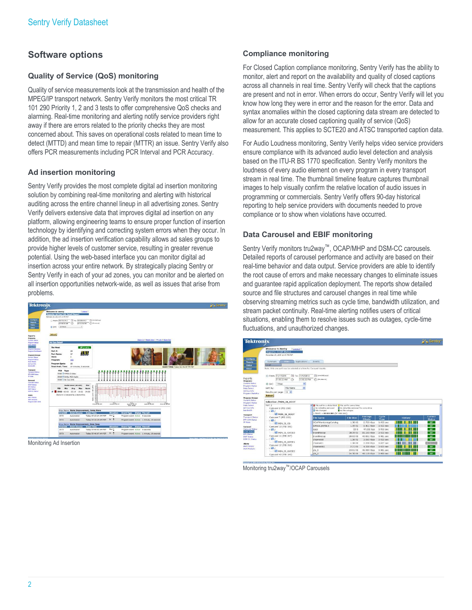## **Software options**

### **Quality of Service (QoS) monitoring**

Quality of service measurements look at the transmission and health of the MPEG/IP transport network. Sentry Verify monitors the most critical TR 101 290 Priority 1, 2 and 3 tests to offer comprehensive QoS checks and alarming. Real-time monitoring and alerting notify service providers right away if there are errors related to the priority checks they are most concerned about. This saves on operational costs related to mean time to detect (MTTD) and mean time to repair (MTTR) an issue. Sentry Verify also offers PCR measurements including PCR Interval and PCR Accuracy.

#### **Ad insertion monitoring**

Sentry Verify provides the most complete digital ad insertion monitoring solution by combining real-time monitoring and alerting with historical auditing across the entire channel lineup in all advertising zones. Sentry Verify delivers extensive data that improves digital ad insertion on any platform, allowing engineering teams to ensure proper function of insertion technology by identifying and correcting system errors when they occur. In addition, the ad insertion verification capability allows ad sales groups to provide higher levels of customer service, resulting in greater revenue potential. Using the web-based interface you can monitor digital ad insertion across your entire network. By strategically placing Sentry or Sentry Verify in each of your ad zones, you can monitor and be alerted on all insertion opportunities network-wide, as well as issues that arise from problems.



Monitoring Ad Insertion

#### **Compliance monitoring**

For Closed Caption compliance monitoring, Sentry Verify has the ability to monitor, alert and report on the availability and quality of closed captions across all channels in real time. Sentry Verify will check that the captions are present and not in error. When errors do occur, Sentry Verify will let you know how long they were in error and the reason for the error. Data and syntax anomalies within the closed captioning data stream are detected to allow for an accurate closed captioning quality of service (QoS) measurement. This applies to SCTE20 and ATSC transported caption data.

For Audio Loudness monitoring, Sentry Verify helps video service providers ensure compliance with its advanced audio level detection and analysis based on the ITU-R BS 1770 specification. Sentry Verify monitors the loudness of every audio element on every program in every transport stream in real time. The thumbnail timeline feature captures thumbnail images to help visually confirm the relative location of audio issues in programming or commercials. Sentry Verify offers 90-day historical reporting to help service providers with documents needed to prove compliance or to show when violations have occurred.

### **Data Carousel and EBIF monitoring**

Sentry Verify monitors tru2way™, OCAP/MHP and DSM-CC carousels. Detailed reports of carousel performance and activity are based on their real-time behavior and data output. Service providers are able to identify the root cause of errors and make necessary changes to eliminate issues and guarantee rapid application deployment. The reports show detailed source and file structures and carousel changes in real time while observing streaming metrics such as cycle time, bandwidth utilization, and stream packet continuity. Real-time alerting notifies users of critical situations, enabling them to resolve issues such as outages, cycle-time fluctuations, and unauthorized changes.

| <b>Tektronix</b>                                      |                                                                                                         |                                                                               |                                                          |                           |               |                       | Sentry <sup>12</sup>     |
|-------------------------------------------------------|---------------------------------------------------------------------------------------------------------|-------------------------------------------------------------------------------|----------------------------------------------------------|---------------------------|---------------|-----------------------|--------------------------|
|                                                       | <b>Welcome to Sentry</b><br>[ Logout ]<br><b>Reports: OCAP Status</b><br>November 17, 2010 12:05 PH PST |                                                                               |                                                          |                           |               |                       |                          |
| Configure<br>Reports<br><b>Status</b><br><b>About</b> | Files<br>Summary<br>Applications<br>OCAP                                                                | <b>Events</b>                                                                 |                                                          |                           |               |                       |                          |
|                                                       | Note: Only one port may be selected at a time for Carousel reports.                                     |                                                                               |                                                          |                           |               |                       |                          |
| Reports<br>Programs                                   | C From: 11/17/2018<br>™ то: 11/17/2010<br>11:05:33 AM<br>12.05:33 PM<br>∞                               | THE Cromel did system)<br>$[]$ (hhommiza)                                     |                                                          |                           |               |                       |                          |
| Coment Status<br><b>Program Status</b>                | Ÿ<br>1 Hour<br>$(6)$ (or)                                                                               |                                                                               |                                                          |                           |               |                       |                          |
|                                                       | File Namo<br>Sort by:                                                                                   |                                                                               |                                                          |                           |               |                       |                          |
| <b>Pressary Statistics</b>                            | Results per page: 10 M<br><b>Rebesh</b>                                                                 |                                                                               |                                                          |                           |               |                       |                          |
|                                                       |                                                                                                         |                                                                               |                                                          |                           |               |                       |                          |
| Program Status                                        | Selection: /MDN_IB_ROOT<br>Port 2                                                                       | A File put for a vhole block I File out for come time                         |                                                          |                           |               |                       |                          |
|                                                       | Carousel 2 (PID 258)<br>A                                                                               | I No data/File removed<br>File changed<br>$1$ block = $00:04:00$ (hr:min:sec) | Il No data/File removed for come time<br>No file outages |                           |               |                       |                          |
|                                                       | MDN IB ROOT<br>Carousel 7 (PID 263)<br>$= 14$                                                           | <b>File Name</b>                                                              | File Size                                                | Average<br><b>Pitrate</b> | Cycle<br>Time | History               | Current<br><b>Status</b> |
|                                                       | MDN IB OD                                                                                               | OCAPMonitorAppCatalog                                                         | $1.30$ KB                                                | 2.700 Kbps                | $3.433$ sec   |                       | <b>UP</b>                |
|                                                       | Carousel 10 (PID 266)                                                                                   | airtime.profile.z                                                             | 1.19 KB                                                  | $2.461$ Kbos              | 3.433 sec     |                       | <b>UP</b>                |
|                                                       | $= 24$                                                                                                  | apos                                                                          | 23B                                                      | 47,000 bps                | 3.433 sec     |                       | UP                       |
|                                                       | MDN_IB_GUIDEO                                                                                           | brandhiscap                                                                   | 38.59 KB                                                 | 80.160 Kbos               | 3.433 sec     |                       | $\overline{UP}$          |
|                                                       | Carousel 11 (PID 267)                                                                                   | brandloggap                                                                   | 20.63 KB                                                 | 40.691 Kbps               | 3,481 sec     |                       | <b>UP</b>                |
|                                                       | $\mathbf{e}$<br>MDN_IB_GUIDE1                                                                           | channels0                                                                     | 1.26 KB                                                  | 3.060 Kbos                | 3.433 sec     |                       | UP                       |
|                                                       | Carousel 12 (PID 268)                                                                                   | channels1                                                                     | $1.26$ KB                                                | 2.538 Kbps                | 3.437 sec     |                       | <b>REMOVED</b>           |
|                                                       | $= 0$                                                                                                   | channels61                                                                    | $2.21$ KB                                                | 4.598 Kbos                | 3.433 sec     |                       | <b>UP</b>                |
|                                                       | MDN IB GUIDE2                                                                                           | gls_0                                                                         | 23.81 KB                                                 | 46,969 Kbps               | 3.481 sec     |                       | UP                       |
|                                                       | Carousel 40 (PID 140)                                                                                   | $q/s-1$                                                                       | 24.70 KB                                                 | 48.119 Kbps               | 3.493 sec     | <b>THE BIRDS</b><br>Ш | <b>UP</b>                |

Monitoring tru2way™/OCAP Carousels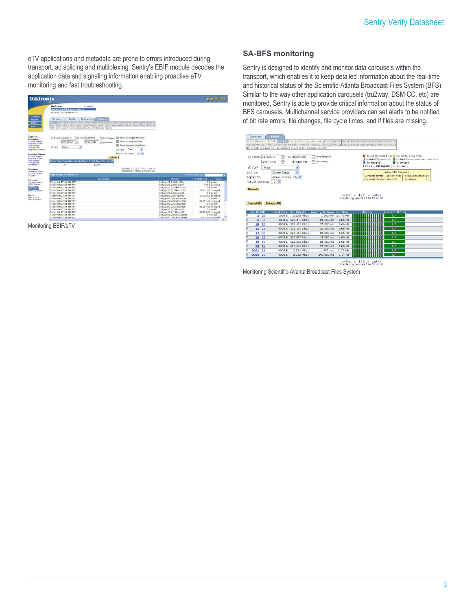eTV applications and metadata are prone to errors introduced during transport, ad splicing and multiplexing. Sentry's EBIF module decodes the application data and signaling information enabling proactive eTV monitoring and fast troubleshooting.

|                                                                                                                                                                                                                                                                                                               | <b>Tektronix</b> |                                                                                                  |          |                                                                     |                                                                                    |                                                                                                                                                                                                                                        |                                                                                                             |                                                                      |       |
|---------------------------------------------------------------------------------------------------------------------------------------------------------------------------------------------------------------------------------------------------------------------------------------------------------------|------------------|--------------------------------------------------------------------------------------------------|----------|---------------------------------------------------------------------|------------------------------------------------------------------------------------|----------------------------------------------------------------------------------------------------------------------------------------------------------------------------------------------------------------------------------------|-------------------------------------------------------------------------------------------------------------|----------------------------------------------------------------------|-------|
|                                                                                                                                                                                                                                                                                                               | Welcome          | <b>Reports: EBIF Event History</b><br>March 30, 2010 09:33 AM PDT                                |          | [ Logout ]                                                          |                                                                                    |                                                                                                                                                                                                                                        |                                                                                                             |                                                                      |       |
| Configure<br>Reports                                                                                                                                                                                                                                                                                          | Summary          | Detail                                                                                           |          | Applications                                                        | Events                                                                             |                                                                                                                                                                                                                                        |                                                                                                             |                                                                      |       |
| Shefter                                                                                                                                                                                                                                                                                                       |                  |                                                                                                  |          | Note: Only one port may be selected at a time for Carousel reports. |                                                                                    | Fire Port 1 Port 3 Port 3 Port 4 Port 5 Port 6 Port 7 Port 8 Port 9 Port 10 Port 11 Port 12 Port 13 Port 14<br>Port 15 Port 16 Port 17 Port 18 Port 19 Port 21 Port 21 Port 22 Port 23 Port 24 Port 25 Port 26 Port 27 Port 28 Port 29 |                                                                                                             |                                                                      |       |
| Reports                                                                                                                                                                                                                                                                                                       |                  | C From: 03/30/2010                                                                               |          | 03/30/2010                                                          |                                                                                    | R Show Changed Modules                                                                                                                                                                                                                 |                                                                                                             |                                                                      |       |
| Programs<br>Current Status<br>Program Status                                                                                                                                                                                                                                                                  |                  | 08 33 43 AM                                                                                      | To:<br>酾 | 09:33:43 AM                                                         | Till (mm/dd/www)<br>Calmmess!                                                      | <b>P Show Added Modules</b>                                                                                                                                                                                                            |                                                                                                             |                                                                      |       |
| <b>Data Detect</b><br>Ad Cue Info<br>Program Statistics                                                                                                                                                                                                                                                       | $\odot$ (or)     | 1 Hour                                                                                           |          |                                                                     |                                                                                    | F Show Removed Modules<br>Date<br>×<br>Sort by:                                                                                                                                                                                        |                                                                                                             |                                                                      |       |
| <b>Program Groups</b>                                                                                                                                                                                                                                                                                         |                  |                                                                                                  |          |                                                                     |                                                                                    | Results per page: 25 W                                                                                                                                                                                                                 |                                                                                                             |                                                                      |       |
|                                                                                                                                                                                                                                                                                                               |                  |                                                                                                  |          |                                                                     |                                                                                    |                                                                                                                                                                                                                                        |                                                                                                             |                                                                      |       |
|                                                                                                                                                                                                                                                                                                               |                  |                                                                                                  |          |                                                                     | <b>Refresh</b><br><b>Media Time Descriptor Count Stream Event Descriptor Count</b> |                                                                                                                                                                                                                                        |                                                                                                             |                                                                      |       |
|                                                                                                                                                                                                                                                                                                               |                  | $\Omega$                                                                                         |          | 8.056                                                               |                                                                                    | $c$ dFirst $c1112131>$ Last>>                                                                                                                                                                                                          |                                                                                                             |                                                                      |       |
|                                                                                                                                                                                                                                                                                                               |                  | <b>EBIF Module Event History</b>                                                                 |          |                                                                     |                                                                                    | Displaying Modules 1 to 25 of 52                                                                                                                                                                                                       |                                                                                                             | <b>Find in current page</b>                                          |       |
|                                                                                                                                                                                                                                                                                                               |                  |                                                                                                  |          |                                                                     | <b>Event Date</b>                                                                  |                                                                                                                                                                                                                                        | Module                                                                                                      | <b>Module Size</b>                                                   |       |
|                                                                                                                                                                                                                                                                                                               |                  | Today 09:27:30 AM PDT<br>Today 09:27:30 AM PDT<br>Today 09:27:30 AM PDT                          |          |                                                                     |                                                                                    |                                                                                                                                                                                                                                        | Chill/app/2.2/LB2.dr000<br>Chill/app/2.2/LB2.dr000<br>Chill/app/2.2/YAHH.pr000                              | 0 B added<br>475 B changed<br>0 B added                              |       |
|                                                                                                                                                                                                                                                                                                               |                  | Today 09:27:30 AM PDT<br>Today 09:27:30 AM PDT<br>Today 09:27:30 AM PDT                          |          |                                                                     |                                                                                    |                                                                                                                                                                                                                                        | Chill/app/2.2/YAHH.pr000<br>Chill/app/2.2/LBM.pr000<br>Chill/app/2.2/LEM.pr000                              | 15.131 KB changed<br>0 B added<br>17.512 KB changed                  |       |
| <b>Current Status</b><br>Program Stabus<br><b>Data Detect</b><br>Ad Cue Info<br>Bandwidth<br>Transport<br><b>Transport Status</b><br>FTR-290 Status<br>Caroucel<br>Carousel Status<br><b>OCAP Status</b><br><b>BFS Status</b><br><b>FLIF Statu</b><br><b>TSH-CC Status</b><br>Alert History<br>Alert Analysis |                  | Today 09:27:30 AM PDT<br>Today 09:27:30 AM PDT<br>Today 09:27:30 AM PDT                          |          |                                                                     |                                                                                    |                                                                                                                                                                                                                                        | Chill/app/2.2/BOGR.pr000<br>Chill/app/2.2/BOGR.pr000<br>Chill/app/2.2/SOLR.pr000                            | 0 B added<br>39.251 KB changed<br>0 B added                          |       |
|                                                                                                                                                                                                                                                                                                               |                  | Today 09:27:30 AM PDT<br>Today 09:27:30 AM PDT<br>Today 09:27:30 AM PDT<br>Today 09:27:30 AM PDT |          |                                                                     |                                                                                    |                                                                                                                                                                                                                                        | Chill/app/2.2/SOLR.pr000<br>Chill/app/2.2/YAH.pr000<br>Chill/app/2.2/YAH.pr000<br>Chill/app/2.2/BOGSL.pr000 | 38.504 KB changed<br>$0 B$ added<br>S0.955 KB changed<br>$0$ B added | Event |

Monitoring EBIF/eTV

#### **SA-BFS monitoring**

Sentry is designed to identify and monitor data carousels within the transport, which enables it to keep detailed information about the real-time and historical status of the Scientific-Atlanta Broadcast Files System (BFS). Similar to the way other application carousels (tru2way, DSM-CC, etc) are monitored, Sentry is able to provide critical information about the status of BFS carousels. Multichannel service providers can set alerts to be notified of bit rate errors, file changes, file cycle times, and if files are missing.

|                                                                                                | From: 04/06/2010<br>$\odot$ (or) | 02:03:02 PM<br>1 Hour | 国<br>∞              | To: 04/06/2010<br>03:03:02 PM<br>Y | [iii] (mm/dd/yyyy)<br>$\odot$ (hhommiss)                      |                    | File changed<br>$1$ block = $00:04:00$ (hr:min:sec)                           | No outages            | File out for whole block File out for some time<br>Il No data/File removed Il No data/File removed for some time |  |
|------------------------------------------------------------------------------------------------|----------------------------------|-----------------------|---------------------|------------------------------------|---------------------------------------------------------------|--------------------|-------------------------------------------------------------------------------|-----------------------|------------------------------------------------------------------------------------------------------------------|--|
| $\ddot{\phantom{1}}$<br><b>Current Status</b><br>Sort by:<br>Active Sources Only<br>Report On: |                                  |                       |                     |                                    | Carousel bitrate: 28.049 Mbps<br>Carousel file size: 30.63 MB | Active BFS Summary | Total IB sources: 18<br>Total files:                                          | 91                    |                                                                                                                  |  |
|                                                                                                | <b>Expand All</b>                |                       | <b>Collapse All</b> |                                    |                                                               |                    | < <first <11 2 =""> Last&gt;&gt;<br/>Displaying Sources 1 to 10 of 18</first> |                       |                                                                                                                  |  |
|                                                                                                | <b>Src ID PID</b>                |                       | <b>Block Size</b>   | <b>Src Bitrate</b>                 | <b>Avg Cycle Time</b>                                         | <b>Src Size</b>    | <b>History</b>                                                                | <b>Current Status</b> |                                                                                                                  |  |
|                                                                                                |                                  | $2^{28}$              | 3000 B              | 2,328 Mbps                         | 1.362 min                                                     | 21.40 MB           |                                                                               | <b>HP</b>             |                                                                                                                  |  |
|                                                                                                |                                  | 6 <sup>33</sup>       | 4000 B              | 525.378 Kbps                       | $25.000$ ms.                                                  | 1.66 KB            |                                                                               | LIP                   |                                                                                                                  |  |
|                                                                                                | $10^{17}$                        |                       | 4000 B              | 527.469 Kbps                       | 25.000 ms                                                     | 1.66 KB            |                                                                               | <b>IIP</b>            |                                                                                                                  |  |
|                                                                                                | 12                               | 21                    | 4000 B              | 526,160 Kbps                       | 25.000 ms                                                     | 1.66 KB            |                                                                               | <b>TIP</b>            |                                                                                                                  |  |
|                                                                                                | 14 32                            |                       | 4000 B              | 526.169 Kbps                       | 25.000 ms                                                     | 1.66 KB            |                                                                               | UP                    |                                                                                                                  |  |
|                                                                                                | 16                               | 25                    | 4000 B              | 527.629 Kbps                       | 25.000 ms                                                     | 1.66 KB            |                                                                               | UP                    |                                                                                                                  |  |
|                                                                                                | 18                               | 30                    | 4000 B              | 526.637 Kbps                       | 25,000 ms                                                     | 1.66 KB            |                                                                               | UP                    |                                                                                                                  |  |
| 田<br>闺<br>G<br>田<br>田<br>ē<br>$\overline{E}$<br>亩                                              | 20                               | 19                    | 4000 B              | 526.589 Kbps                       | 25,000 ms                                                     | 1.66 KB            |                                                                               | UP                    |                                                                                                                  |  |
| G                                                                                              | 2001                             | 35                    | 4000 B              | 2.224 Mbps                         | 14.357 sec                                                    | 3.92 MB            |                                                                               | UP                    |                                                                                                                  |  |

<<First < | 1 | 2 | > Last>><br>Displaying Sources 1 to 10 of 18

Monitoring Scientific-Atlanta Broadcast Files System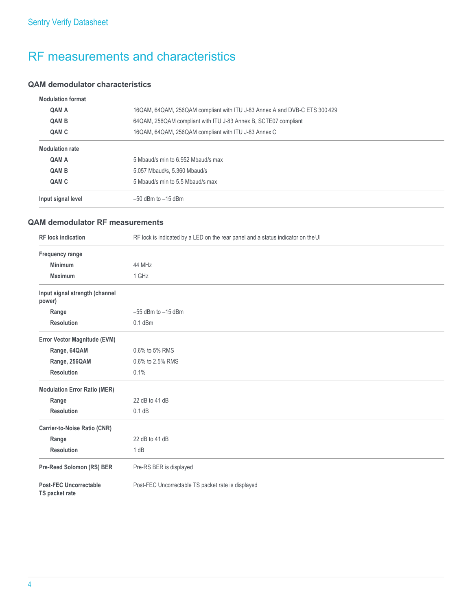# RF measurements and characteristics

## **QAM demodulator characteristics**

| <b>Modulation format</b> |                                                                            |
|--------------------------|----------------------------------------------------------------------------|
| QAM A                    | 16QAM, 64QAM, 256QAM compliant with ITU J-83 Annex A and DVB-C ETS 300 429 |
| QAM <sub>B</sub>         | 64QAM, 256QAM compliant with ITU J-83 Annex B, SCTE07 compliant            |
| QAM C                    | 16QAM, 64QAM, 256QAM compliant with ITU J-83 Annex C                       |
| <b>Modulation rate</b>   |                                                                            |
| QAM A                    | 5 Mbaud/s min to 6.952 Mbaud/s max                                         |
| <b>QAM B</b>             | 5.057 Mbaud/s, 5.360 Mbaud/s                                               |
| QAM C                    | 5 Mbaud/s min to 5.5 Mbaud/s max                                           |
| Input signal level       | $-50$ dBm to $-15$ dBm                                                     |

### **QAM demodulator RF measurements**

| <b>RF</b> lock indication                       | RF lock is indicated by a LED on the rear panel and a status indicator on the UI |
|-------------------------------------------------|----------------------------------------------------------------------------------|
| <b>Frequency range</b>                          |                                                                                  |
| <b>Minimum</b>                                  | 44 MHz                                                                           |
| <b>Maximum</b>                                  | 1 GHz                                                                            |
| Input signal strength (channel<br>power)        |                                                                                  |
| Range                                           | $-55$ dBm to $-15$ dBm                                                           |
| <b>Resolution</b>                               | $0.1$ dBm                                                                        |
| Error Vector Magnitude (EVM)                    |                                                                                  |
| Range, 64QAM                                    | 0.6% to 5% RMS                                                                   |
| Range, 256QAM                                   | 0.6% to 2.5% RMS                                                                 |
| <b>Resolution</b>                               | 0.1%                                                                             |
| <b>Modulation Error Ratio (MER)</b>             |                                                                                  |
| Range                                           | 22 dB to 41 dB                                                                   |
| <b>Resolution</b>                               | 0.1 dB                                                                           |
| Carrier-to-Noise Ratio (CNR)                    |                                                                                  |
| Range                                           | 22 dB to 41 dB                                                                   |
| <b>Resolution</b>                               | 1 dB                                                                             |
| Pre-Reed Solomon (RS) BER                       | Pre-RS BER is displayed                                                          |
| <b>Post-FEC Uncorrectable</b><br>TS packet rate | Post-FEC Uncorrectable TS packet rate is displayed                               |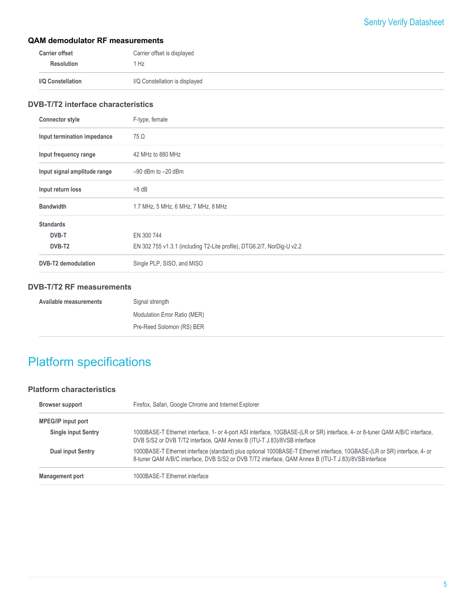## Sentry Verify Datasheet

## **QAM demodulator RF measurements**

| <b>Carrier offset</b> | Carrier offset is displayed    |
|-----------------------|--------------------------------|
| Resolution            | 1 HZ                           |
| I/Q Constellation     | I/Q Constellation is displayed |

#### **DVB-T/T2 interface characteristics**

| <b>Connector style</b>       | F-type, female                                                         |
|------------------------------|------------------------------------------------------------------------|
| Input termination impedance  | $75\Omega$                                                             |
| Input frequency range        | 42 MHz to 880 MHz                                                      |
| Input signal amplitude range | $-90$ dBm to $-20$ dBm                                                 |
| Input return loss            | $>8$ dB                                                                |
| <b>Bandwidth</b>             | 1.7 MHz, 5 MHz, 6 MHz, 7 MHz, 8 MHz                                    |
| <b>Standards</b>             |                                                                        |
| DVB-T                        | EN 300 744                                                             |
| DVB-T2                       | EN 302 755 v1.3.1 (including T2-Lite profile), DTG6.2/7, NorDig-U v2.2 |
| <b>DVB-T2 demodulation</b>   | Single PLP, SISO, and MISO                                             |

#### **DVB-T/T2 RF measurements**

| Available measurements | Signal strength              |
|------------------------|------------------------------|
|                        | Modulation Error Ratio (MER) |
|                        | Pre-Reed Solomon (RS) BER    |

# Platform specifications

#### **Platform characteristics**

| <b>Browser support</b>     | Firefox, Safari, Google Chrome and Internet Explorer                                                                                                                                                                              |  |  |  |  |
|----------------------------|-----------------------------------------------------------------------------------------------------------------------------------------------------------------------------------------------------------------------------------|--|--|--|--|
| <b>MPEG/IP input port</b>  |                                                                                                                                                                                                                                   |  |  |  |  |
| <b>Single input Sentry</b> | 1000BASE-T Ethernet interface, 1- or 4-port ASI interface, 10GBASE-(LR or SR) interface, 4- or 8-tuner QAM A/B/C interface,<br>DVB S/S2 or DVB T/T2 interface, QAM Annex B (ITU-T J.83)/8VSB interface                            |  |  |  |  |
| <b>Dual input Sentry</b>   | 1000BASE-T Ethernet interface (standard) plus optional 1000BASE-T Ethernet interface, 10GBASE-(LR or SR) interface, 4- or<br>8-tuner QAM A/B/C interface, DVB S/S2 or DVB T/T2 interface, QAM Annex B (ITU-T J.83)/8VSB interface |  |  |  |  |
| <b>Management port</b>     | 1000BASE-T Ethernet interface                                                                                                                                                                                                     |  |  |  |  |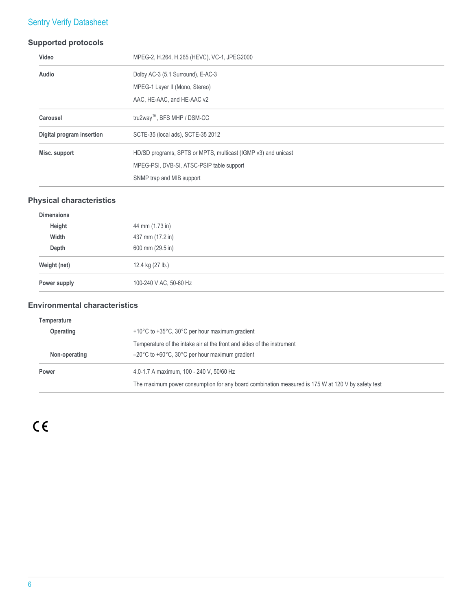# Sentry Verify Datasheet

## **Supported protocols**

| Video                     | MPEG-2, H.264, H.265 (HEVC), VC-1, JPEG2000                   |
|---------------------------|---------------------------------------------------------------|
| Audio                     | Dolby AC-3 (5.1 Surround), E-AC-3                             |
|                           | MPEG-1 Layer II (Mono, Stereo)                                |
|                           | AAC, HE-AAC, and HE-AAC v2                                    |
| Carousel                  | tru2way <sup>™</sup> , BFS MHP / DSM-CC                       |
| Digital program insertion | SCTE-35 (local ads), SCTE-35 2012                             |
| Misc. support             | HD/SD programs, SPTS or MPTS, multicast (IGMP v3) and unicast |
|                           | MPEG-PSI, DVB-SI, ATSC-PSIP table support                     |
|                           | SNMP trap and MIB support                                     |
|                           |                                                               |

## **Physical characteristics**

| <b>Dimensions</b> |                        |
|-------------------|------------------------|
| Height            | 44 mm (1.73 in)        |
| Width             | 437 mm (17.2 in)       |
| Depth             | 600 mm (29.5 in)       |
| Weight (net)      | 12.4 kg (27 lb.)       |
| Power supply      | 100-240 V AC, 50-60 Hz |

## **Environmental characteristics**

| Temperature   |                                                                                                   |
|---------------|---------------------------------------------------------------------------------------------------|
| Operating     | +10°C to +35°C, 30°C per hour maximum gradient                                                    |
|               | Temperature of the intake air at the front and sides of the instrument                            |
| Non-operating | $-20^{\circ}$ C to +60 $^{\circ}$ C, 30 $^{\circ}$ C per hour maximum gradient                    |
| Power         | 4.0-1.7 A maximum, 100 - 240 V, 50/60 Hz                                                          |
|               | The maximum power consumption for any board combination measured is 175 W at 120 V by safety test |

 $C \in$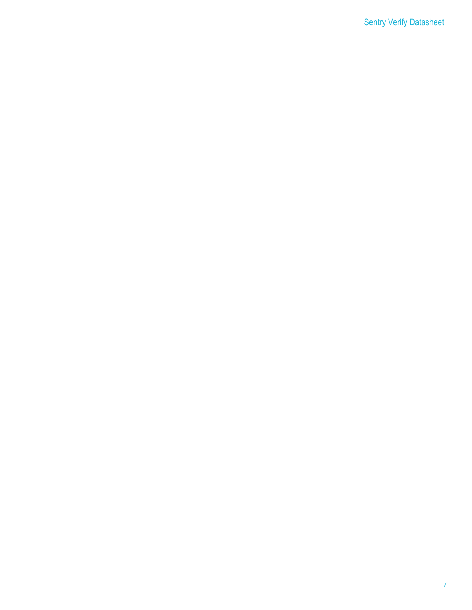Sentry Verify Datasheet